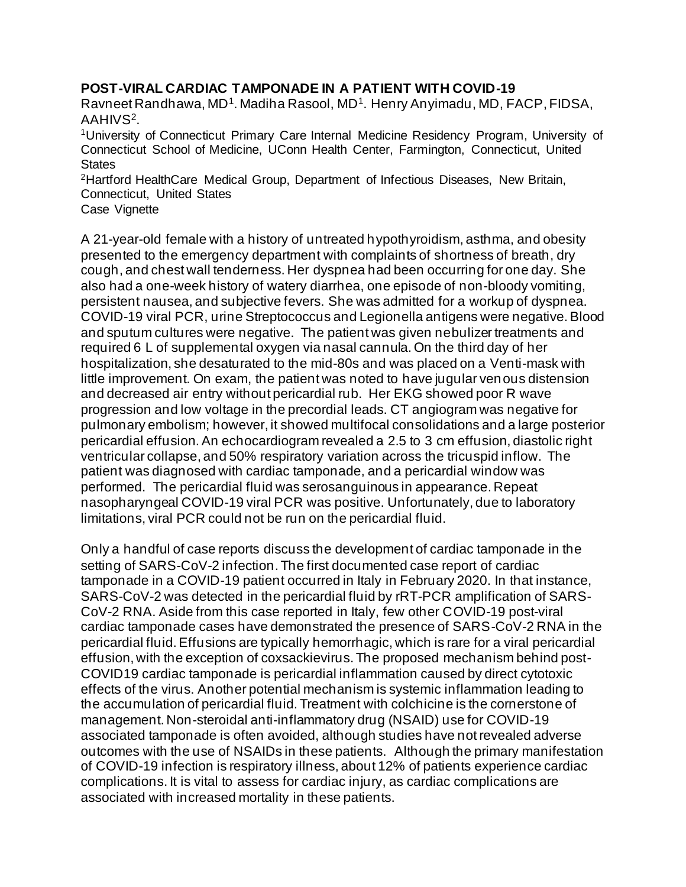## **POST-VIRAL CARDIAC TAMPONADE IN A PATIENT WITH COVID-19**

Ravneet Randhawa, MD<sup>1</sup>. Madiha Rasool, MD<sup>1</sup>. Henry Anyimadu, MD, FACP, FIDSA, AAHIVS<sup>2</sup>.

<sup>1</sup>University of Connecticut Primary Care Internal Medicine Residency Program, University of Connecticut School of Medicine, UConn Health Center, Farmington, Connecticut, United **States** 

<sup>2</sup>Hartford HealthCare Medical Group, Department of Infectious Diseases, New Britain, Connecticut, United States

Case Vignette

A 21-year-old female with a history of untreated hypothyroidism, asthma, and obesity presented to the emergency department with complaints of shortness of breath, dry cough, and chest wall tenderness. Her dyspnea had been occurring for one day. She also had a one-week history of watery diarrhea, one episode of non-bloody vomiting, persistent nausea, and subjective fevers. She was admitted for a workup of dyspnea. COVID-19 viral PCR, urine Streptococcus and Legionella antigens were negative. Blood and sputum cultures were negative. The patient was given nebulizer treatments and required 6 L of supplemental oxygen via nasal cannula. On the third day of her hospitalization, she desaturated to the mid-80s and was placed on a Venti-mask with little improvement. On exam, the patient was noted to have jugular venous distension and decreased air entry without pericardial rub. Her EKG showed poor R wave progression and low voltage in the precordial leads. CT angiogram was negative for pulmonary embolism; however, it showed multifocal consolidations and a large posterior pericardial effusion. An echocardiogram revealed a 2.5 to 3 cm effusion, diastolic right ventricular collapse, and 50% respiratory variation across the tricuspid inflow. The patient was diagnosed with cardiac tamponade, and a pericardial window was performed. The pericardial fluid was serosanguinous in appearance. Repeat nasopharyngeal COVID-19 viral PCR was positive. Unfortunately, due to laboratory limitations, viral PCR could not be run on the pericardial fluid.

Only a handful of case reports discuss the development of cardiac tamponade in the setting of SARS-CoV-2 infection. The first documented case report of cardiac tamponade in a COVID-19 patient occurred in Italy in February 2020. In that instance, SARS-CoV-2 was detected in the pericardial fluid by rRT-PCR amplification of SARS-CoV-2 RNA. Aside from this case reported in Italy, few other COVID-19 post-viral cardiac tamponade cases have demonstrated the presence of SARS-CoV-2 RNA in the pericardial fluid. Effusions are typically hemorrhagic, which is rare for a viral pericardial effusion, with the exception of coxsackievirus. The proposed mechanism behind post-COVID19 cardiac tamponade is pericardial inflammation caused by direct cytotoxic effects of the virus. Another potential mechanism is systemic inflammation leading to the accumulation of pericardial fluid. Treatment with colchicine is the cornerstone of management. Non-steroidal anti-inflammatory drug (NSAID) use for COVID-19 associated tamponade is often avoided, although studies have not revealed adverse outcomes with the use of NSAIDs in these patients. Although the primary manifestation of COVID-19 infection is respiratory illness, about 12% of patients experience cardiac complications. It is vital to assess for cardiac injury, as cardiac complications are associated with increased mortality in these patients.